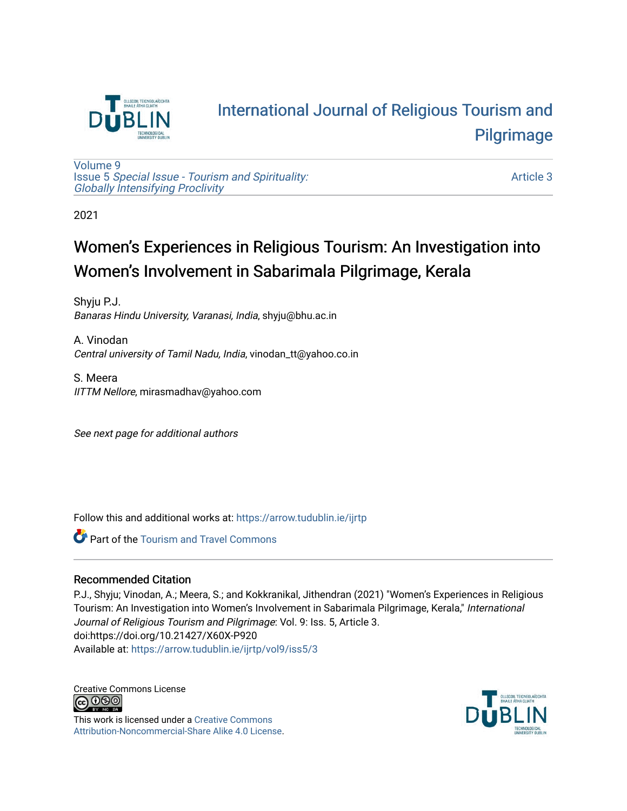

# [International Journal of Religious Tourism and](https://arrow.tudublin.ie/ijrtp)  [Pilgrimage](https://arrow.tudublin.ie/ijrtp)

[Volume 9](https://arrow.tudublin.ie/ijrtp/vol9) Issue 5 [Special Issue - Tourism and Spirituality:](https://arrow.tudublin.ie/ijrtp/vol9/iss5)  [Globally Intensifying Proclivity](https://arrow.tudublin.ie/ijrtp/vol9/iss5)

[Article 3](https://arrow.tudublin.ie/ijrtp/vol9/iss5/3) 

2021

# Women's Experiences in Religious Tourism: An Investigation into Women's Involvement in Sabarimala Pilgrimage, Kerala

Shyju P.J. Banaras Hindu University, Varanasi, India, shyju@bhu.ac.in

A. Vinodan Central university of Tamil Nadu, India, vinodan\_tt@yahoo.co.in

S. Meera IITTM Nellore, mirasmadhav@yahoo.com

See next page for additional authors

Follow this and additional works at: [https://arrow.tudublin.ie/ijrtp](https://arrow.tudublin.ie/ijrtp?utm_source=arrow.tudublin.ie%2Fijrtp%2Fvol9%2Fiss5%2F3&utm_medium=PDF&utm_campaign=PDFCoverPages)

**C** Part of the [Tourism and Travel Commons](http://network.bepress.com/hgg/discipline/1082?utm_source=arrow.tudublin.ie%2Fijrtp%2Fvol9%2Fiss5%2F3&utm_medium=PDF&utm_campaign=PDFCoverPages)

### Recommended Citation

P.J., Shyju; Vinodan, A.; Meera, S.; and Kokkranikal, Jithendran (2021) "Women's Experiences in Religious Tourism: An Investigation into Women's Involvement in Sabarimala Pilgrimage, Kerala," International Journal of Religious Tourism and Pilgrimage: Vol. 9: Iss. 5, Article 3. doi:https://doi.org/10.21427/X60X-P920 Available at: [https://arrow.tudublin.ie/ijrtp/vol9/iss5/3](https://arrow.tudublin.ie/ijrtp/vol9/iss5/3?utm_source=arrow.tudublin.ie%2Fijrtp%2Fvol9%2Fiss5%2F3&utm_medium=PDF&utm_campaign=PDFCoverPages)

Creative Commons License<br>  $\bigcirc$  000

This work is licensed under a [Creative Commons](https://creativecommons.org/licenses/by-nc-sa/4.0/) [Attribution-Noncommercial-Share Alike 4.0 License](https://creativecommons.org/licenses/by-nc-sa/4.0/).

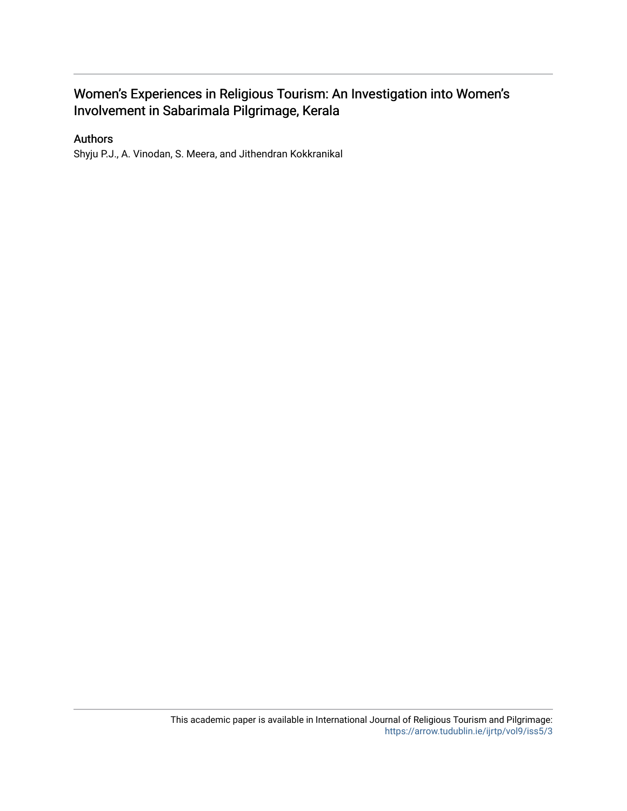# Women's Experiences in Religious Tourism: An Investigation into Women's Involvement in Sabarimala Pilgrimage, Kerala

### Authors

Shyju P.J., A. Vinodan, S. Meera, and Jithendran Kokkranikal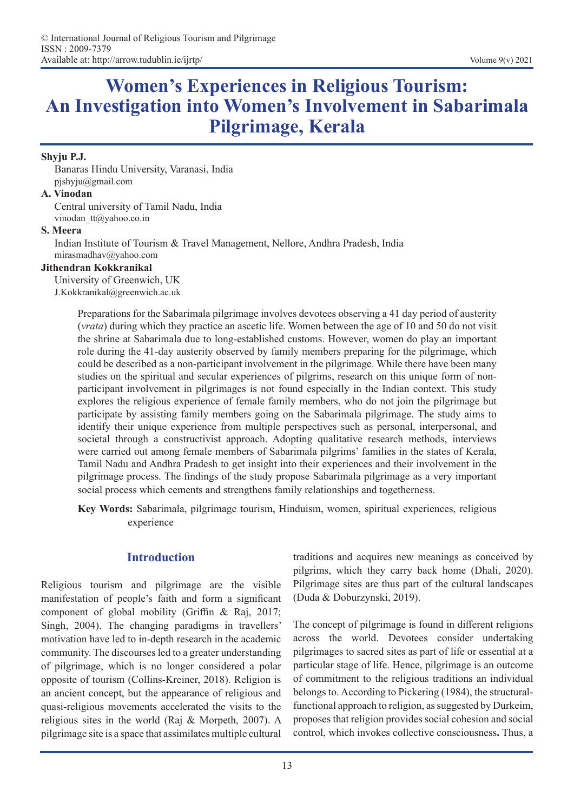# **Women's Experiences in Religious Tourism: An Investigation into Women's Involvement in Sabarimala Pilgrimage, Kerala**

#### **Shyju P.J.**

Banaras Hindu University, Varanasi, India pjshyju@gmail.com

#### **A. Vinodan**

Central university of Tamil Nadu, India vinodan\_tt@yahoo.co.in

#### **S. Meera**

Indian Institute of Tourism & Travel Management, Nellore, Andhra Pradesh, India mirasmadhav@yahoo.com

#### **Jithendran Kokkranikal**

University of Greenwich, UK J.Kokkranikal@greenwich.ac.uk

> Preparations for the Sabarimala pilgrimage involves devotees observing a 41 day period of austerity (*vrata*) during which they practice an ascetic life. Women between the age of 10 and 50 do not visit the shrine at Sabarimala due to long-established customs. However, women do play an important role during the 41-day austerity observed by family members preparing for the pilgrimage, which could be described as a non-participant involvement in the pilgrimage. While there have been many studies on the spiritual and secular experiences of pilgrims, research on this unique form of nonparticipant involvement in pilgrimages is not found especially in the Indian context. This study explores the religious experience of female family members, who do not join the pilgrimage but participate by assisting family members going on the Sabarimala pilgrimage. The study aims to identify their unique experience from multiple perspectives such as personal, interpersonal, and societal through a constructivist approach. Adopting qualitative research methods, interviews were carried out among female members of Sabarimala pilgrims' families in the states of Kerala, Tamil Nadu and Andhra Pradesh to get insight into their experiences and their involvement in the pilgrimage process. The findings of the study propose Sabarimala pilgrimage as a very important social process which cements and strengthens family relationships and togetherness.

> **Key Words:** Sabarimala, pilgrimage tourism, Hinduism, women, spiritual experiences, religious experience

#### **Introduction**

Religious tourism and pilgrimage are the visible manifestation of people's faith and form a significant component of global mobility (Griffin & Raj, 2017; Singh, 2004). The changing paradigms in travellers' motivation have led to in-depth research in the academic community. The discourses led to a greater understanding of pilgrimage, which is no longer considered a polar opposite of tourism (Collins-Kreiner, 2018). Religion is an ancient concept, but the appearance of religious and quasi-religious movements accelerated the visits to the religious sites in the world (Raj & Morpeth, 2007). A pilgrimage site is a space that assimilates multiple cultural

traditions and acquires new meanings as conceived by pilgrims, which they carry back home (Dhali, 2020). Pilgrimage sites are thus part of the cultural landscapes (Duda & Doburzynski, 2019).

The concept of pilgrimage is found in different religions across the world. Devotees consider undertaking pilgrimages to sacred sites as part of life or essential at a particular stage of life. Hence, pilgrimage is an outcome of commitment to the religious traditions an individual belongs to. According to Pickering (1984), the structuralfunctional approach to religion, as suggested by Durkeim, proposes that religion provides social cohesion and social control, which invokes collective consciousness**.** Thus, a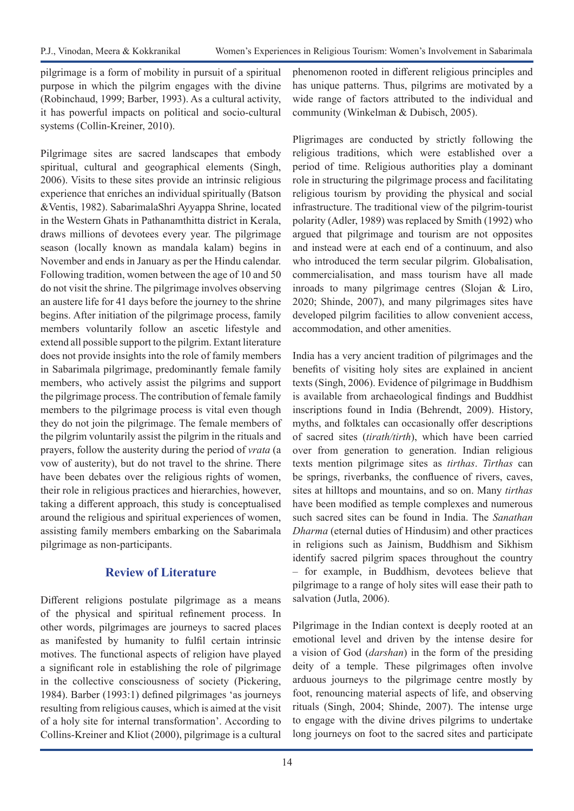pilgrimage is a form of mobility in pursuit of a spiritual purpose in which the pilgrim engages with the divine (Robinchaud, 1999; Barber, 1993). As a cultural activity, it has powerful impacts on political and socio-cultural systems (Collin-Kreiner, 2010).

Pilgrimage sites are sacred landscapes that embody spiritual, cultural and geographical elements (Singh, 2006). Visits to these sites provide an intrinsic religious experience that enriches an individual spiritually (Batson &Ventis, 1982). SabarimalaShri Ayyappa Shrine, located in the Western Ghats in Pathanamthitta district in Kerala, draws millions of devotees every year. The pilgrimage season (locally known as mandala kalam) begins in November and ends in January as per the Hindu calendar. Following tradition, women between the age of 10 and 50 do not visit the shrine. The pilgrimage involves observing an austere life for 41 days before the journey to the shrine begins. After initiation of the pilgrimage process, family members voluntarily follow an ascetic lifestyle and extend all possible support to the pilgrim. Extant literature does not provide insights into the role of family members in Sabarimala pilgrimage, predominantly female family members, who actively assist the pilgrims and support the pilgrimage process. The contribution of female family members to the pilgrimage process is vital even though they do not join the pilgrimage. The female members of the pilgrim voluntarily assist the pilgrim in the rituals and prayers, follow the austerity during the period of *vrata* (a vow of austerity), but do not travel to the shrine. There have been debates over the religious rights of women, their role in religious practices and hierarchies, however, taking a different approach, this study is conceptualised around the religious and spiritual experiences of women, assisting family members embarking on the Sabarimala pilgrimage as non-participants.

# **Review of Literature**

Different religions postulate pilgrimage as a means of the physical and spiritual refinement process. In other words, pilgrimages are journeys to sacred places as manifested by humanity to fulfil certain intrinsic motives. The functional aspects of religion have played a significant role in establishing the role of pilgrimage in the collective consciousness of society (Pickering, 1984). Barber (1993:1) defined pilgrimages 'as journeys resulting from religious causes, which is aimed at the visit of a holy site for internal transformation'. According to Collins-Kreiner and Kliot (2000), pilgrimage is a cultural

phenomenon rooted in different religious principles and has unique patterns. Thus, pilgrims are motivated by a wide range of factors attributed to the individual and community (Winkelman & Dubisch, 2005).

Pligrimages are conducted by strictly following the religious traditions, which were established over a period of time. Religious authorities play a dominant role in structuring the pilgrimage process and facilitating religious tourism by providing the physical and social infrastructure. The traditional view of the pilgrim-tourist polarity (Adler, 1989) was replaced by Smith (1992) who argued that pilgrimage and tourism are not opposites and instead were at each end of a continuum, and also who introduced the term secular pilgrim. Globalisation, commercialisation, and mass tourism have all made inroads to many pilgrimage centres (Slojan & Liro, 2020; Shinde, 2007), and many pilgrimages sites have developed pilgrim facilities to allow convenient access, accommodation, and other amenities.

India has a very ancient tradition of pilgrimages and the benefits of visiting holy sites are explained in ancient texts (Singh, 2006). Evidence of pilgrimage in Buddhism is available from archaeological findings and Buddhist inscriptions found in India (Behrendt, 2009). History, myths, and folktales can occasionally offer descriptions of sacred sites (*tirath/tirth*), which have been carried over from generation to generation. Indian religious texts mention pilgrimage sites as *tirthas*. *Tirthas* can be springs, riverbanks, the confluence of rivers, caves, sites at hilltops and mountains, and so on. Many *tirthas* have been modified as temple complexes and numerous such sacred sites can be found in India. The *Sanathan Dharma* (eternal duties of Hindusim) and other practices in religions such as Jainism, Buddhism and Sikhism identify sacred pilgrim spaces throughout the country – for example, in Buddhism, devotees believe that pilgrimage to a range of holy sites will ease their path to salvation (Jutla, 2006).

Pilgrimage in the Indian context is deeply rooted at an emotional level and driven by the intense desire for a vision of God (*darshan*) in the form of the presiding deity of a temple. These pilgrimages often involve arduous journeys to the pilgrimage centre mostly by foot, renouncing material aspects of life, and observing rituals (Singh, 2004; Shinde, 2007). The intense urge to engage with the divine drives pilgrims to undertake long journeys on foot to the sacred sites and participate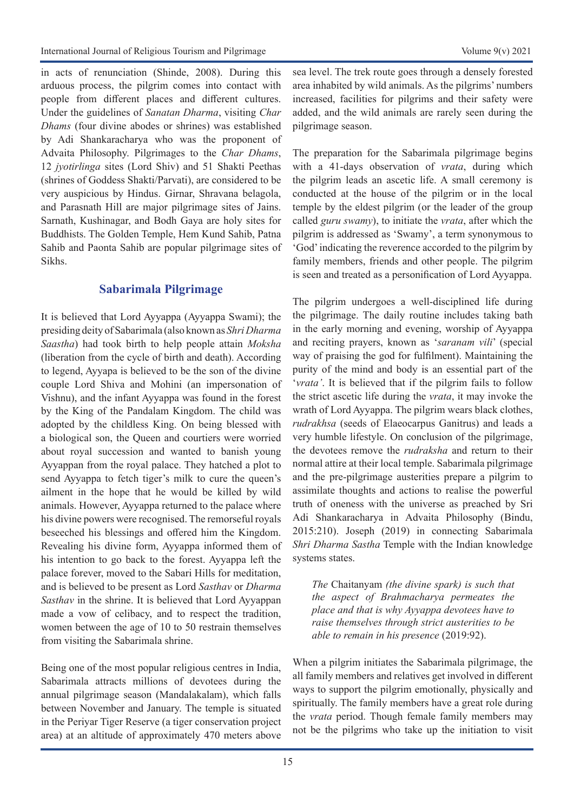in acts of renunciation (Shinde, 2008). During this arduous process, the pilgrim comes into contact with people from different places and different cultures. Under the guidelines of *Sanatan Dharma*, visiting *Char Dhams* (four divine abodes or shrines) was established by Adi Shankaracharya who was the proponent of Advaita Philosophy. Pilgrimages to the *Char Dhams*, 12 *jyotirlinga* sites (Lord Shiv) and 51 Shakti Peethas (shrines of Goddess Shakti/Parvati), are considered to be very auspicious by Hindus. Girnar, Shravana belagola, and Parasnath Hill are major pilgrimage sites of Jains. Sarnath, Kushinagar, and Bodh Gaya are holy sites for Buddhists. The Golden Temple, Hem Kund Sahib, Patna Sahib and Paonta Sahib are popular pilgrimage sites of Sikhs.

### **Sabarimala Pilgrimage**

It is believed that Lord Ayyappa (Ayyappa Swami); the presiding deity of Sabarimala (also known as *Shri Dharma Saastha*) had took birth to help people attain *Moksha* (liberation from the cycle of birth and death). According to legend, Ayyapa is believed to be the son of the divine couple Lord Shiva and Mohini (an impersonation of Vishnu), and the infant Ayyappa was found in the forest by the King of the Pandalam Kingdom. The child was adopted by the childless King. On being blessed with a biological son, the Queen and courtiers were worried about royal succession and wanted to banish young Ayyappan from the royal palace. They hatched a plot to send Ayyappa to fetch tiger's milk to cure the queen's ailment in the hope that he would be killed by wild animals. However, Ayyappa returned to the palace where his divine powers were recognised. The remorseful royals beseeched his blessings and offered him the Kingdom. Revealing his divine form, Ayyappa informed them of his intention to go back to the forest. Ayyappa left the palace forever, moved to the Sabari Hills for meditation, and is believed to be present as Lord *Sasthav* or *Dharma Sasthav* in the shrine. It is believed that Lord Ayyappan made a vow of celibacy, and to respect the tradition, women between the age of 10 to 50 restrain themselves from visiting the Sabarimala shrine.

Being one of the most popular religious centres in India, Sabarimala attracts millions of devotees during the annual pilgrimage season (Mandalakalam), which falls between November and January. The temple is situated in the Periyar Tiger Reserve (a tiger conservation project area) at an altitude of approximately 470 meters above sea level. The trek route goes through a densely forested area inhabited by wild animals. As the pilgrims' numbers increased, facilities for pilgrims and their safety were added, and the wild animals are rarely seen during the pilgrimage season.

The preparation for the Sabarimala pilgrimage begins with a 41-days observation of *vrata*, during which the pilgrim leads an ascetic life. A small ceremony is conducted at the house of the pilgrim or in the local temple by the eldest pilgrim (or the leader of the group called *guru swamy*), to initiate the *vrata*, after which the pilgrim is addressed as 'Swamy', a term synonymous to 'God' indicating the reverence accorded to the pilgrim by family members, friends and other people. The pilgrim is seen and treated as a personification of Lord Ayyappa.

The pilgrim undergoes a well-disciplined life during the pilgrimage. The daily routine includes taking bath in the early morning and evening, worship of Ayyappa and reciting prayers, known as '*saranam vili*' (special way of praising the god for fulfilment). Maintaining the purity of the mind and body is an essential part of the '*vrata'*. It is believed that if the pilgrim fails to follow the strict ascetic life during the *vrata*, it may invoke the wrath of Lord Ayyappa. The pilgrim wears black clothes, *rudrakhsa* (seeds of Elaeocarpus Ganitrus) and leads a very humble lifestyle. On conclusion of the pilgrimage, the devotees remove the *rudraksha* and return to their normal attire at their local temple. Sabarimala pilgrimage and the pre-pilgrimage austerities prepare a pilgrim to assimilate thoughts and actions to realise the powerful truth of oneness with the universe as preached by Sri Adi Shankaracharya in Advaita Philosophy (Bindu, 2015:210). Joseph (2019) in connecting Sabarimala *Shri Dharma Sastha* Temple with the Indian knowledge systems states.

*The* Chaitanyam *(the divine spark) is such that the aspect of Brahmacharya permeates the place and that is why Ayyappa devotees have to raise themselves through strict austerities to be able to remain in his presence* (2019:92).

When a pilgrim initiates the Sabarimala pilgrimage, the all family members and relatives get involved in different ways to support the pilgrim emotionally, physically and spiritually. The family members have a great role during the *vrata* period. Though female family members may not be the pilgrims who take up the initiation to visit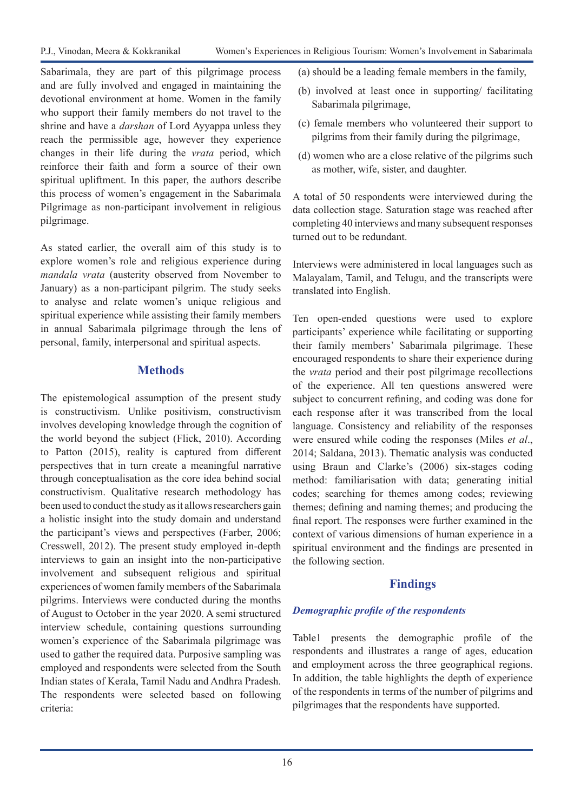Sabarimala, they are part of this pilgrimage process and are fully involved and engaged in maintaining the devotional environment at home. Women in the family who support their family members do not travel to the shrine and have a *darshan* of Lord Ayyappa unless they reach the permissible age, however they experience changes in their life during the *vrata* period, which reinforce their faith and form a source of their own spiritual upliftment. In this paper, the authors describe this process of women's engagement in the Sabarimala Pilgrimage as non-participant involvement in religious pilgrimage.

As stated earlier, the overall aim of this study is to explore women's role and religious experience during *mandala vrata* (austerity observed from November to January) as a non-participant pilgrim. The study seeks to analyse and relate women's unique religious and spiritual experience while assisting their family members in annual Sabarimala pilgrimage through the lens of personal, family, interpersonal and spiritual aspects.

# **Methods**

The epistemological assumption of the present study is constructivism. Unlike positivism, constructivism involves developing knowledge through the cognition of the world beyond the subject (Flick, 2010). According to Patton (2015), reality is captured from different perspectives that in turn create a meaningful narrative through conceptualisation as the core idea behind social constructivism. Qualitative research methodology has been used to conduct the study as it allows researchers gain a holistic insight into the study domain and understand the participant's views and perspectives (Farber, 2006; Cresswell, 2012). The present study employed in-depth interviews to gain an insight into the non-participative involvement and subsequent religious and spiritual experiences of women family members of the Sabarimala pilgrims. Interviews were conducted during the months of August to October in the year 2020. A semi structured interview schedule, containing questions surrounding women's experience of the Sabarimala pilgrimage was used to gather the required data. Purposive sampling was employed and respondents were selected from the South Indian states of Kerala, Tamil Nadu and Andhra Pradesh. The respondents were selected based on following criteria:

- (a) should be a leading female members in the family,
- (b) involved at least once in supporting/ facilitating Sabarimala pilgrimage,
- (c) female members who volunteered their support to pilgrims from their family during the pilgrimage,
- (d) women who are a close relative of the pilgrims such as mother, wife, sister, and daughter.

A total of 50 respondents were interviewed during the data collection stage. Saturation stage was reached after completing 40 interviews and many subsequent responses turned out to be redundant.

Interviews were administered in local languages such as Malayalam, Tamil, and Telugu, and the transcripts were translated into English.

Ten open-ended questions were used to explore participants' experience while facilitating or supporting their family members' Sabarimala pilgrimage. These encouraged respondents to share their experience during the *vrata* period and their post pilgrimage recollections of the experience. All ten questions answered were subject to concurrent refining, and coding was done for each response after it was transcribed from the local language. Consistency and reliability of the responses were ensured while coding the responses (Miles *et al*., 2014; Saldana, 2013). Thematic analysis was conducted using Braun and Clarke's (2006) six-stages coding method: familiarisation with data; generating initial codes; searching for themes among codes; reviewing themes; defining and naming themes; and producing the final report. The responses were further examined in the context of various dimensions of human experience in a spiritual environment and the findings are presented in the following section.

# **Findings**

## *Demographic profile of the respondents*

Table1 presents the demographic profile of the respondents and illustrates a range of ages, education and employment across the three geographical regions. In addition, the table highlights the depth of experience of the respondents in terms of the number of pilgrims and pilgrimages that the respondents have supported.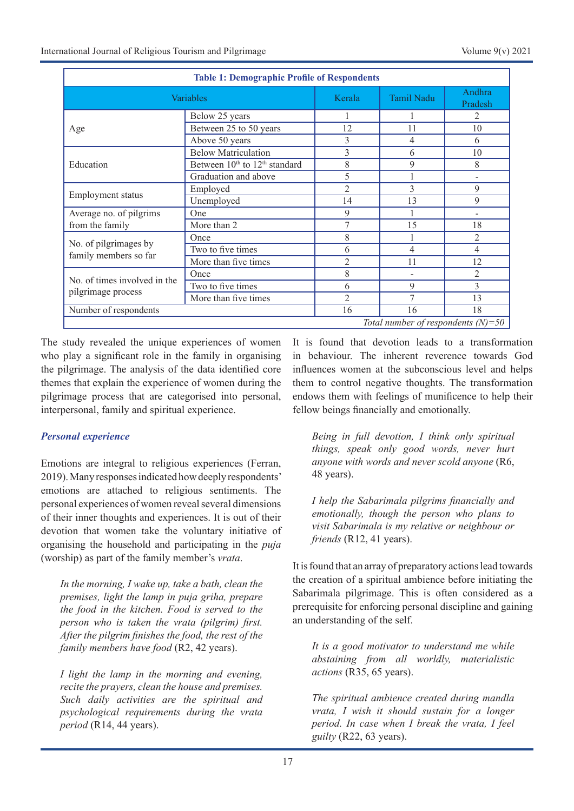| <b>Table 1: Demographic Profile of Respondents</b> |                                                       |                |                   |                   |
|----------------------------------------------------|-------------------------------------------------------|----------------|-------------------|-------------------|
| Variables                                          |                                                       | Kerala         | <b>Tamil Nadu</b> | Andhra<br>Pradesh |
| Age                                                | Below 25 years                                        |                |                   | 2                 |
|                                                    | Between 25 to 50 years                                | 12             | 11                | 10                |
|                                                    | Above 50 years                                        | 3              | 4                 | 6                 |
| Education                                          | <b>Below Matriculation</b>                            | 3              | 6                 | 10                |
|                                                    | Between 10 <sup>th</sup> to 12 <sup>th</sup> standard | 8              | 9                 | 8                 |
|                                                    | Graduation and above                                  | 5              |                   |                   |
| Employment status                                  | Employed                                              | $\mathfrak{D}$ | 3                 | 9                 |
|                                                    | Unemployed                                            | 14             | 13                | 9                 |
| Average no. of pilgrims<br>from the family         | One                                                   | 9              |                   |                   |
|                                                    | More than 2                                           | 7              | 15                | 18                |
| No. of pilgrimages by<br>family members so far     | Once                                                  | 8              |                   | $\mathfrak{D}$    |
|                                                    | Two to five times                                     | 6              | 4                 | 4                 |
|                                                    | More than five times                                  | 2              | 11                | 12                |
| No. of times involved in the<br>pilgrimage process | Once                                                  | 8              | -                 | 2                 |
|                                                    | Two to five times                                     | 6              | 9                 | 3                 |
|                                                    | More than five times                                  | $\overline{2}$ | 7                 | 13                |
| Number of respondents                              |                                                       | 16             | 16                | 18                |
| Total number of respondents $(N)=50$               |                                                       |                |                   |                   |

The study revealed the unique experiences of women who play a significant role in the family in organising the pilgrimage. The analysis of the data identified core themes that explain the experience of women during the pilgrimage process that are categorised into personal, interpersonal, family and spiritual experience.

## *Personal experience*

Emotions are integral to religious experiences (Ferran, 2019). Many responses indicated how deeply respondents' emotions are attached to religious sentiments. The personal experiences of women reveal several dimensions of their inner thoughts and experiences. It is out of their devotion that women take the voluntary initiative of organising the household and participating in the *puja* (worship) as part of the family member's *vrata*.

*In the morning, I wake up, take a bath, clean the premises, light the lamp in puja griha, prepare the food in the kitchen. Food is served to the person who is taken the vrata (pilgrim) first. After the pilgrim finishes the food, the rest of the family members have food* (R2, 42 years).

*I light the lamp in the morning and evening, recite the prayers, clean the house and premises. Such daily activities are the spiritual and psychological requirements during the vrata period* (R14, 44 years).

It is found that devotion leads to a transformation in behaviour. The inherent reverence towards God influences women at the subconscious level and helps them to control negative thoughts. The transformation endows them with feelings of munificence to help their fellow beings financially and emotionally.

*Being in full devotion, I think only spiritual things, speak only good words, never hurt anyone with words and never scold anyone* (R6, 48 years).

*I help the Sabarimala pilgrims financially and emotionally, though the person who plans to visit Sabarimala is my relative or neighbour or friends* (R12, 41 years).

It is found that an array of preparatory actions lead towards the creation of a spiritual ambience before initiating the Sabarimala pilgrimage. This is often considered as a prerequisite for enforcing personal discipline and gaining an understanding of the self.

*It is a good motivator to understand me while abstaining from all worldly, materialistic actions* (R35, 65 years).

*The spiritual ambience created during mandla vrata, I wish it should sustain for a longer period. In case when I break the vrata, I feel guilty* (R22, 63 years).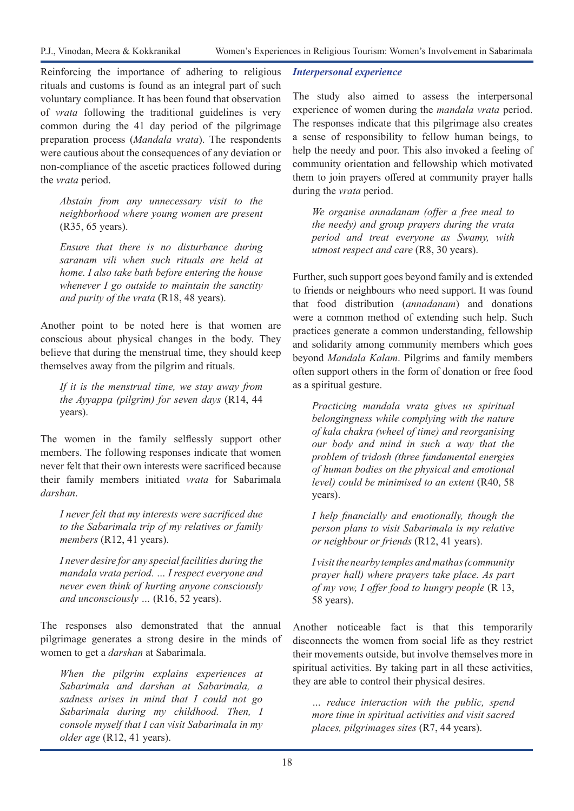Reinforcing the importance of adhering to religious rituals and customs is found as an integral part of such voluntary compliance. It has been found that observation of *vrata* following the traditional guidelines is very common during the 41 day period of the pilgrimage preparation process (*Mandala vrata*). The respondents were cautious about the consequences of any deviation or non-compliance of the ascetic practices followed during the *vrata* period.

*Abstain from any unnecessary visit to the neighborhood where young women are present*  (R35, 65 years).

*Ensure that there is no disturbance during saranam vili when such rituals are held at home. I also take bath before entering the house whenever I go outside to maintain the sanctity and purity of the vrata* (R18, 48 years).

Another point to be noted here is that women are conscious about physical changes in the body. They believe that during the menstrual time, they should keep themselves away from the pilgrim and rituals.

*If it is the menstrual time, we stay away from the Ayyappa (pilgrim) for seven days* (R14, 44 years).

The women in the family selflessly support other members. The following responses indicate that women never felt that their own interests were sacrificed because their family members initiated *vrata* for Sabarimala *darshan*.

*I never felt that my interests were sacrificed due to the Sabarimala trip of my relatives or family members* (R12, 41 years).

*I never desire for any special facilities during the mandala vrata period. … I respect everyone and never even think of hurting anyone consciously and unconsciously …* (R16, 52 years).

The responses also demonstrated that the annual pilgrimage generates a strong desire in the minds of women to get a *darshan* at Sabarimala.

*When the pilgrim explains experiences at Sabarimala and darshan at Sabarimala, a sadness arises in mind that I could not go Sabarimala during my childhood. Then, I console myself that I can visit Sabarimala in my older age* (R12, 41 years).

### *Interpersonal experience*

The study also aimed to assess the interpersonal experience of women during the *mandala vrata* period. The responses indicate that this pilgrimage also creates a sense of responsibility to fellow human beings, to help the needy and poor. This also invoked a feeling of community orientation and fellowship which motivated them to join prayers offered at community prayer halls during the *vrata* period.

*We organise annadanam (offer a free meal to the needy) and group prayers during the vrata period and treat everyone as Swamy, with utmost respect and care* (R8, 30 years).

Further, such support goes beyond family and is extended to friends or neighbours who need support. It was found that food distribution (*annadanam*) and donations were a common method of extending such help. Such practices generate a common understanding, fellowship and solidarity among community members which goes beyond *Mandala Kalam*. Pilgrims and family members often support others in the form of donation or free food as a spiritual gesture.

*Practicing mandala vrata gives us spiritual belongingness while complying with the nature of kala chakra (wheel of time) and reorganising our body and mind in such a way that the problem of tridosh (three fundamental energies of human bodies on the physical and emotional level) could be minimised to an extent* (R40, 58 years).

*I help financially and emotionally, though the person plans to visit Sabarimala is my relative or neighbour or friends* (R12, 41 years).

*I visit the nearby temples and mathas (community prayer hall) where prayers take place. As part of my vow, I offer food to hungry people* (R 13, 58 years).

Another noticeable fact is that this temporarily disconnects the women from social life as they restrict their movements outside, but involve themselves more in spiritual activities. By taking part in all these activities, they are able to control their physical desires.

*… reduce interaction with the public, spend more time in spiritual activities and visit sacred places, pilgrimages sites* (R7, 44 years).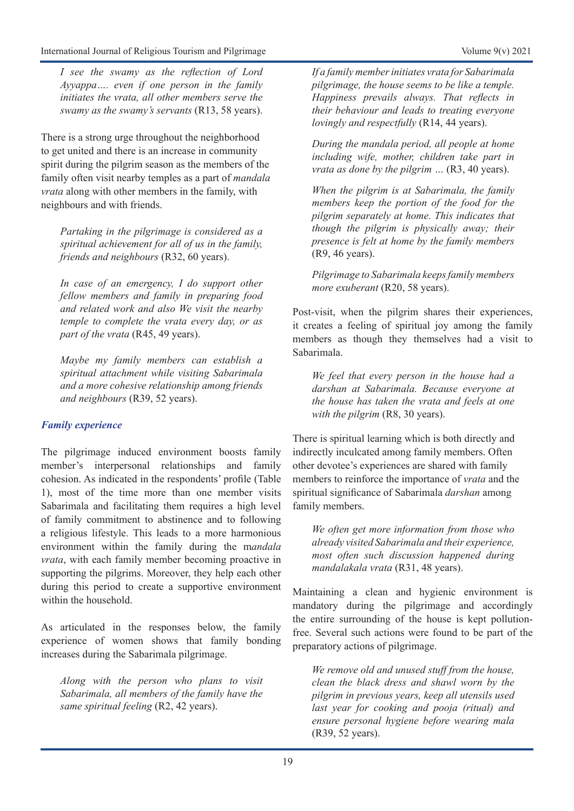*I see the swamy as the reflection of Lord Ayyappa…. even if one person in the family initiates the vrata, all other members serve the swamy as the swamy's servants* (R13, 58 years).

There is a strong urge throughout the neighborhood to get united and there is an increase in community spirit during the pilgrim season as the members of the family often visit nearby temples as a part of *mandala vrata* along with other members in the family, with neighbours and with friends.

*Partaking in the pilgrimage is considered as a spiritual achievement for all of us in the family, friends and neighbours* (R32, 60 years).

*In case of an emergency, I do support other fellow members and family in preparing food and related work and also We visit the nearby temple to complete the vrata every day, or as part of the vrata* (R45, 49 years).

*Maybe my family members can establish a spiritual attachment while visiting Sabarimala and a more cohesive relationship among friends and neighbours* (R39, 52 years).

## *Family experience*

The pilgrimage induced environment boosts family member's interpersonal relationships and family cohesion. As indicated in the respondents' profile (Table 1), most of the time more than one member visits Sabarimala and facilitating them requires a high level of family commitment to abstinence and to following a religious lifestyle. This leads to a more harmonious environment within the family during the m*andala vrata*, with each family member becoming proactive in supporting the pilgrims. Moreover, they help each other during this period to create a supportive environment within the household.

As articulated in the responses below, the family experience of women shows that family bonding increases during the Sabarimala pilgrimage.

*Along with the person who plans to visit Sabarimala, all members of the family have the same spiritual feeling* (R2, 42 years).

*If a family member initiates vrata for Sabarimala pilgrimage, the house seems to be like a temple. Happiness prevails always. That reflects in their behaviour and leads to treating everyone lovingly and respectfully* (R14, 44 years).

*During the mandala period, all people at home including wife, mother, children take part in vrata as done by the pilgrim …* (R3, 40 years).

*When the pilgrim is at Sabarimala, the family members keep the portion of the food for the pilgrim separately at home. This indicates that though the pilgrim is physically away; their presence is felt at home by the family members*  (R9, 46 years).

*Pilgrimage to Sabarimala keeps family members more exuberant* (R20, 58 years).

Post-visit, when the pilgrim shares their experiences, it creates a feeling of spiritual joy among the family members as though they themselves had a visit to Sabarimala.

*We feel that every person in the house had a darshan at Sabarimala. Because everyone at the house has taken the vrata and feels at one*  with the pilgrim (R8, 30 years).

There is spiritual learning which is both directly and indirectly inculcated among family members. Often other devotee's experiences are shared with family members to reinforce the importance of *vrata* and the spiritual significance of Sabarimala *darshan* among family members.

*We often get more information from those who already visited Sabarimala and their experience, most often such discussion happened during mandalakala vrata* (R31, 48 years).

Maintaining a clean and hygienic environment is mandatory during the pilgrimage and accordingly the entire surrounding of the house is kept pollutionfree. Several such actions were found to be part of the preparatory actions of pilgrimage.

*We remove old and unused stuff from the house, clean the black dress and shawl worn by the pilgrim in previous years, keep all utensils used last year for cooking and pooja (ritual) and ensure personal hygiene before wearing mala*  (R39, 52 years).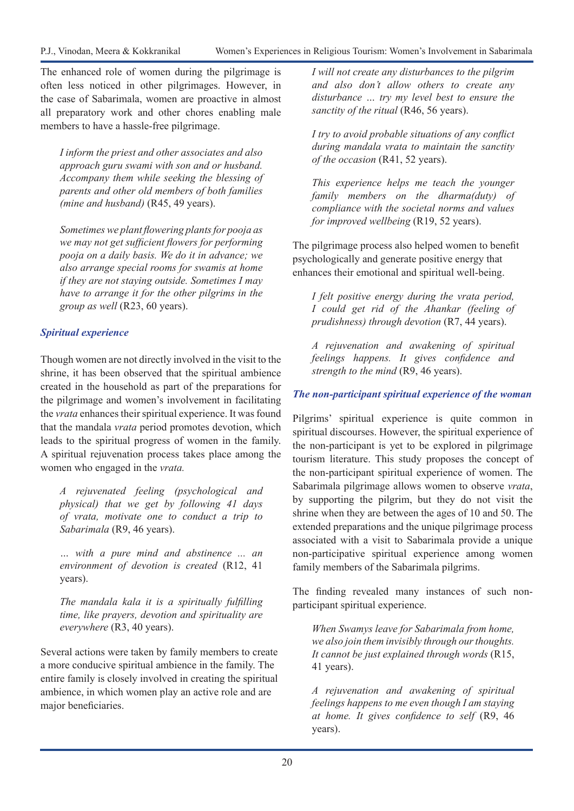The enhanced role of women during the pilgrimage is often less noticed in other pilgrimages. However, in the case of Sabarimala, women are proactive in almost all preparatory work and other chores enabling male members to have a hassle-free pilgrimage.

*I inform the priest and other associates and also approach guru swami with son and or husband. Accompany them while seeking the blessing of parents and other old members of both families (mine and husband)* (R45, 49 years).

*Sometimes we plant flowering plants for pooja as we may not get sufficient flowers for performing pooja on a daily basis. We do it in advance; we also arrange special rooms for swamis at home if they are not staying outside. Sometimes I may have to arrange it for the other pilgrims in the group as well* (R23, 60 years).

# *Spiritual experience*

Though women are not directly involved in the visit to the shrine, it has been observed that the spiritual ambience created in the household as part of the preparations for the pilgrimage and women's involvement in facilitating the *vrata* enhances their spiritual experience. It was found that the mandala *vrata* period promotes devotion, which leads to the spiritual progress of women in the family. A spiritual rejuvenation process takes place among the women who engaged in the *vrata.*

*A rejuvenated feeling (psychological and physical) that we get by following 41 days of vrata, motivate one to conduct a trip to Sabarimala* (R9, 46 years).

*… with a pure mind and abstinence ... an environment of devotion is created* (R12, 41 years).

*The mandala kala it is a spiritually fulfilling time, like prayers, devotion and spirituality are everywhere* (R3, 40 years).

Several actions were taken by family members to create a more conducive spiritual ambience in the family. The entire family is closely involved in creating the spiritual ambience, in which women play an active role and are major beneficiaries.

*I will not create any disturbances to the pilgrim and also don't allow others to create any disturbance … try my level best to ensure the sanctity of the ritual* (R46, 56 years).

*I try to avoid probable situations of any conflict during mandala vrata to maintain the sanctity of the occasion* (R41, 52 years).

*This experience helps me teach the younger family members on the dharma(duty) of compliance with the societal norms and values for improved wellbeing* (R19, 52 years).

The pilgrimage process also helped women to benefit psychologically and generate positive energy that enhances their emotional and spiritual well-being.

*I felt positive energy during the vrata period, I could get rid of the Ahankar (feeling of prudishness) through devotion* (R7, 44 years).

*A rejuvenation and awakening of spiritual feelings happens. It gives confidence and strength to the mind* (R9, 46 years).

# *The non-participant spiritual experience of the woman*

Pilgrims' spiritual experience is quite common in spiritual discourses. However, the spiritual experience of the non-participant is yet to be explored in pilgrimage tourism literature. This study proposes the concept of the non-participant spiritual experience of women. The Sabarimala pilgrimage allows women to observe *vrata*, by supporting the pilgrim, but they do not visit the shrine when they are between the ages of 10 and 50. The extended preparations and the unique pilgrimage process associated with a visit to Sabarimala provide a unique non-participative spiritual experience among women family members of the Sabarimala pilgrims.

The finding revealed many instances of such nonparticipant spiritual experience.

*When Swamys leave for Sabarimala from home, we also join them invisibly through our thoughts. It cannot be just explained through words* (R15, 41 years).

*A rejuvenation and awakening of spiritual feelings happens to me even though I am staying at home. It gives confidence to self* (R9, 46 years).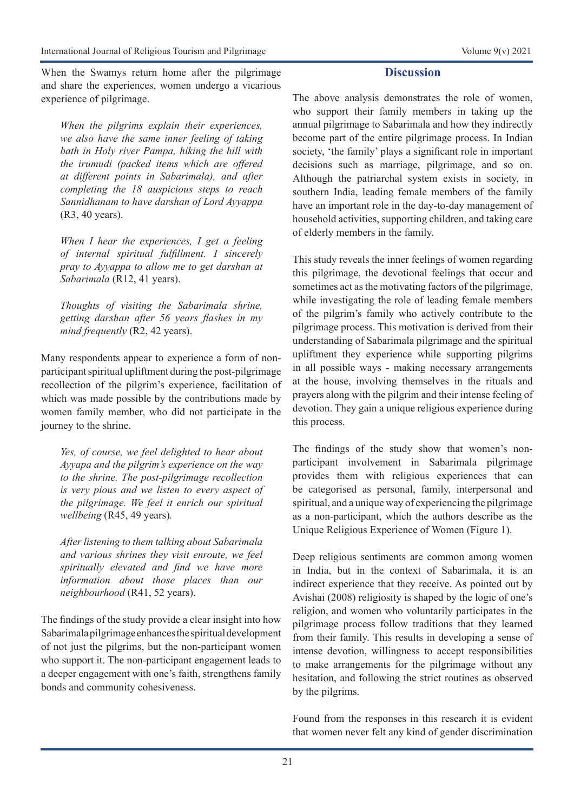When the Swamys return home after the pilgrimage and share the experiences, women undergo a vicarious experience of pilgrimage.

*When the pilgrims explain their experiences, we also have the same inner feeling of taking bath in Holy river Pampa, hiking the hill with the irumudi (packed items which are offered at different points in Sabarimala), and after completing the 18 auspicious steps to reach Sannidhanam to have darshan of Lord Ayyappa*  (R3, 40 years).

*When I hear the experiences, I get a feeling of internal spiritual fulfillment. I sincerely pray to Ayyappa to allow me to get darshan at Sabarimala* (R12, 41 years).

*Thoughts of visiting the Sabarimala shrine, getting darshan after 56 years flashes in my mind frequently* (R2, 42 years).

Many respondents appear to experience a form of nonparticipant spiritual upliftment during the post-pilgrimage recollection of the pilgrim's experience, facilitation of which was made possible by the contributions made by women family member, who did not participate in the journey to the shrine.

*Yes, of course, we feel delighted to hear about Ayyapa and the pilgrim's experience on the way to the shrine. The post-pilgrimage recollection is very pious and we listen to every aspect of the pilgrimage. We feel it enrich our spiritual wellbeing* (R45, 49 years)*.* 

*After listening to them talking about Sabarimala and various shrines they visit enroute, we feel spiritually elevated and find we have more information about those places than our neighbourhood* (R41, 52 years).

The findings of the study provide a clear insight into how Sabarimala pilgrimage enhances the spiritual development of not just the pilgrims, but the non-participant women who support it. The non-participant engagement leads to a deeper engagement with one's faith, strengthens family bonds and community cohesiveness.

## **Discussion**

The above analysis demonstrates the role of women, who support their family members in taking up the annual pilgrimage to Sabarimala and how they indirectly become part of the entire pilgrimage process. In Indian society, 'the family' plays a significant role in important decisions such as marriage, pilgrimage, and so on. Although the patriarchal system exists in society, in southern India, leading female members of the family have an important role in the day-to-day management of household activities, supporting children, and taking care of elderly members in the family.

This study reveals the inner feelings of women regarding this pilgrimage, the devotional feelings that occur and sometimes act as the motivating factors of the pilgrimage, while investigating the role of leading female members of the pilgrim's family who actively contribute to the pilgrimage process. This motivation is derived from their understanding of Sabarimala pilgrimage and the spiritual upliftment they experience while supporting pilgrims in all possible ways - making necessary arrangements at the house, involving themselves in the rituals and prayers along with the pilgrim and their intense feeling of devotion. They gain a unique religious experience during this process.

The findings of the study show that women's nonparticipant involvement in Sabarimala pilgrimage provides them with religious experiences that can be categorised as personal, family, interpersonal and spiritual, and a unique way of experiencing the pilgrimage as a non-participant, which the authors describe as the Unique Religious Experience of Women (Figure 1).

Deep religious sentiments are common among women in India, but in the context of Sabarimala, it is an indirect experience that they receive. As pointed out by Avishai (2008) religiosity is shaped by the logic of one's religion, and women who voluntarily participates in the pilgrimage process follow traditions that they learned from their family. This results in developing a sense of intense devotion, willingness to accept responsibilities to make arrangements for the pilgrimage without any hesitation, and following the strict routines as observed by the pilgrims.

Found from the responses in this research it is evident that women never felt any kind of gender discrimination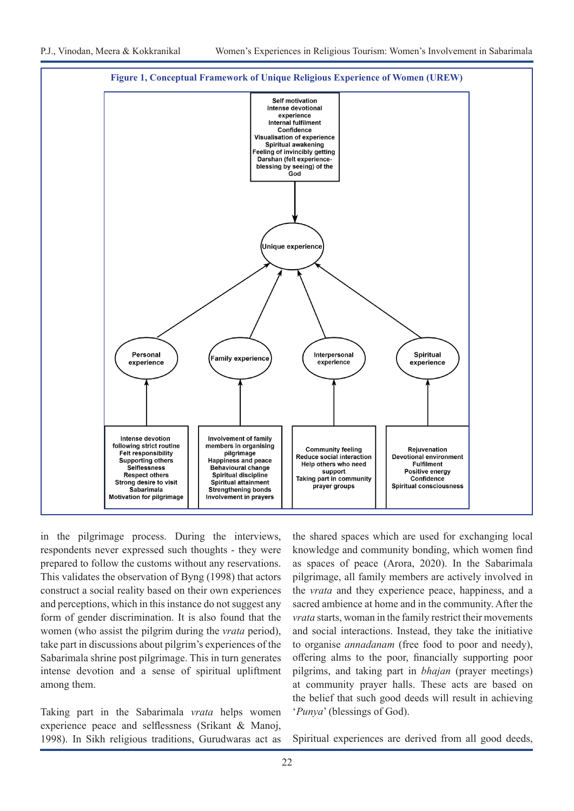

in the pilgrimage process. During the interviews, respondents never expressed such thoughts - they were prepared to follow the customs without any reservations. This validates the observation of Byng (1998) that actors construct a social reality based on their own experiences and perceptions, which in this instance do not suggest any form of gender discrimination. It is also found that the women (who assist the pilgrim during the *vrata* period), take part in discussions about pilgrim's experiences of the Sabarimala shrine post pilgrimage. This in turn generates intense devotion and a sense of spiritual upliftment among them.

Taking part in the Sabarimala *vrata* helps women experience peace and selflessness (Srikant & Manoj, 1998). In Sikh religious traditions, Gurudwaras act as the shared spaces which are used for exchanging local knowledge and community bonding, which women find as spaces of peace (Arora, 2020). In the Sabarimala pilgrimage, all family members are actively involved in the *vrata* and they experience peace, happiness, and a sacred ambience at home and in the community. After the *vrata* starts, woman in the family restrict their movements and social interactions. Instead, they take the initiative to organise *annadanam* (free food to poor and needy), offering alms to the poor, financially supporting poor pilgrims, and taking part in *bhajan* (prayer meetings) at community prayer halls. These acts are based on the belief that such good deeds will result in achieving '*Punya*' (blessings of God).

Spiritual experiences are derived from all good deeds,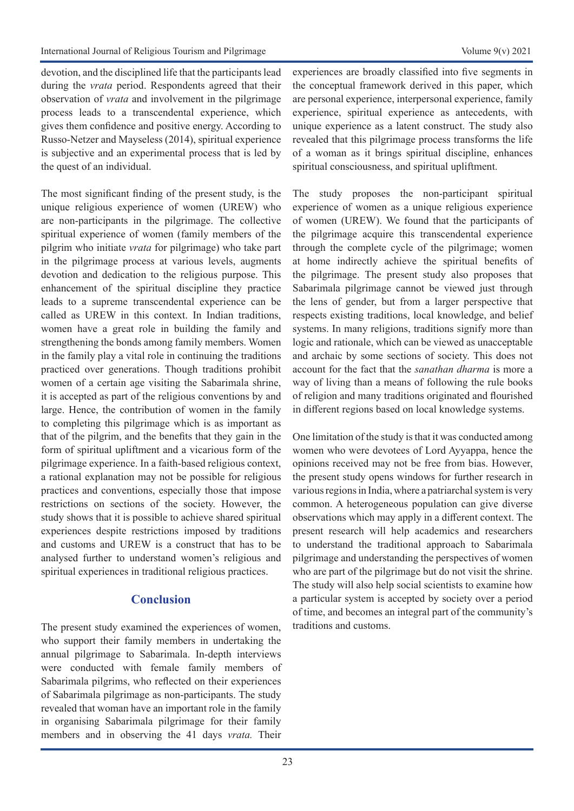devotion, and the disciplined life that the participants lead during the *vrata* period. Respondents agreed that their observation of *vrata* and involvement in the pilgrimage process leads to a transcendental experience, which gives them confidence and positive energy. According to Russo-Netzer and Mayseless (2014), spiritual experience is subjective and an experimental process that is led by the quest of an individual.

The most significant finding of the present study, is the unique religious experience of women (UREW) who are non-participants in the pilgrimage. The collective spiritual experience of women (family members of the pilgrim who initiate *vrata* for pilgrimage) who take part in the pilgrimage process at various levels, augments devotion and dedication to the religious purpose. This enhancement of the spiritual discipline they practice leads to a supreme transcendental experience can be called as UREW in this context. In Indian traditions, women have a great role in building the family and strengthening the bonds among family members. Women in the family play a vital role in continuing the traditions practiced over generations. Though traditions prohibit women of a certain age visiting the Sabarimala shrine, it is accepted as part of the religious conventions by and large. Hence, the contribution of women in the family to completing this pilgrimage which is as important as that of the pilgrim, and the benefits that they gain in the form of spiritual upliftment and a vicarious form of the pilgrimage experience. In a faith-based religious context, a rational explanation may not be possible for religious practices and conventions, especially those that impose restrictions on sections of the society. However, the study shows that it is possible to achieve shared spiritual experiences despite restrictions imposed by traditions and customs and UREW is a construct that has to be analysed further to understand women's religious and spiritual experiences in traditional religious practices.

# **Conclusion**

The present study examined the experiences of women, who support their family members in undertaking the annual pilgrimage to Sabarimala. In-depth interviews were conducted with female family members of Sabarimala pilgrims, who reflected on their experiences of Sabarimala pilgrimage as non-participants. The study revealed that woman have an important role in the family in organising Sabarimala pilgrimage for their family members and in observing the 41 days *vrata.* Their

experiences are broadly classified into five segments in the conceptual framework derived in this paper, which are personal experience, interpersonal experience, family experience, spiritual experience as antecedents, with unique experience as a latent construct. The study also revealed that this pilgrimage process transforms the life of a woman as it brings spiritual discipline, enhances spiritual consciousness, and spiritual upliftment.

The study proposes the non-participant spiritual experience of women as a unique religious experience of women (UREW). We found that the participants of the pilgrimage acquire this transcendental experience through the complete cycle of the pilgrimage; women at home indirectly achieve the spiritual benefits of the pilgrimage. The present study also proposes that Sabarimala pilgrimage cannot be viewed just through the lens of gender, but from a larger perspective that respects existing traditions, local knowledge, and belief systems. In many religions, traditions signify more than logic and rationale, which can be viewed as unacceptable and archaic by some sections of society. This does not account for the fact that the *sanathan dharma* is more a way of living than a means of following the rule books of religion and many traditions originated and flourished in different regions based on local knowledge systems.

One limitation of the study is that it was conducted among women who were devotees of Lord Ayyappa, hence the opinions received may not be free from bias. However, the present study opens windows for further research in various regions in India, where a patriarchal system is very common. A heterogeneous population can give diverse observations which may apply in a different context. The present research will help academics and researchers to understand the traditional approach to Sabarimala pilgrimage and understanding the perspectives of women who are part of the pilgrimage but do not visit the shrine. The study will also help social scientists to examine how a particular system is accepted by society over a period of time, and becomes an integral part of the community's traditions and customs.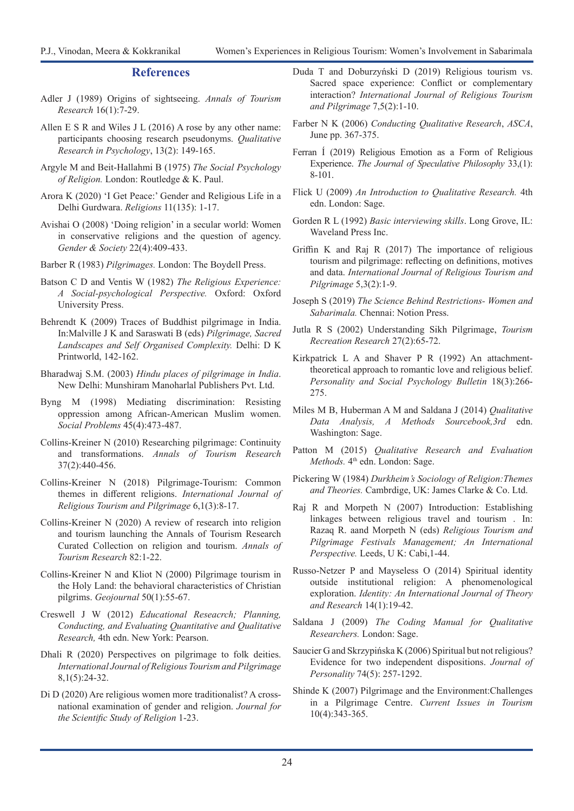#### **References**

- Adler J (1989) Origins of sightseeing. *Annals of Tourism Research* 16(1):7-29.
- Allen E S R and Wiles J L (2016) A rose by any other name: participants choosing research pseudonyms. *Qualitative Research in Psychology*, 13(2): 149-165.
- Argyle M and Beit-Hallahmi B (1975) *The Social Psychology of Religion.* London: Routledge & K. Paul.
- Arora K (2020) 'I Get Peace:' Gender and Religious Life in a Delhi Gurdwara. *Religions* 11(135): 1-17.
- Avishai O (2008) 'Doing religion' in a secular world: Women in conservative religions and the question of agency. *Gender & Society* 22(4):409-433.
- Barber R (1983) *Pilgrimages.* London: The Boydell Press.
- Batson C D and Ventis W (1982) *The Religious Experience: A Social-psychological Perspective.* Oxford: Oxford University Press.
- Behrendt K (2009) Traces of Buddhist pilgrimage in India. In:Malville J K and Saraswati B (eds) *Pilgrimage, Sacred Landscapes and Self Organised Complexity.* Delhi: D K Printworld, 142-162.
- Bharadwaj S.M. (2003) *Hindu places of pilgrimage in India*. New Delhi: Munshiram Manoharlal Publishers Pvt. Ltd.
- Byng M (1998) Mediating discrimination: Resisting oppression among African-American Muslim women. *Social Problems* 45(4):473-487.
- Collins-Kreiner N (2010) Researching pilgrimage: Continuity and transformations. *Annals of Tourism Research*  37(2):440-456.
- Collins-Kreiner N (2018) Pilgrimage-Tourism: Common themes in different religions. *International Journal of Religious Tourism and Pilgrimage* 6,1(3):8-17.
- Collins-Kreiner N (2020) A review of research into religion and tourism launching the Annals of Tourism Research Curated Collection on religion and tourism. *Annals of Tourism Research* 82:1-22.
- Collins-Kreiner N and Kliot N (2000) Pilgrimage tourism in the Holy Land: the behavioral characteristics of Christian pilgrims. *Geojournal* 50(1):55-67.
- Creswell J W (2012) *Educational Reseacrch; Planning, Conducting, and Evaluating Quantitative and Qualitative Research,* 4th edn. New York: Pearson.
- Dhali R (2020) Perspectives on pilgrimage to folk deities. *International Journal of Religious Tourism and Pilgrimage*  8,1(5):24-32.
- Di D (2020) Are religious women more traditionalist? A crossnational examination of gender and religion. *Journal for the Scientific Study of Religion* 1-23.
- Duda T and Doburzyński D (2019) Religious tourism vs. Sacred space experience: Conflict or complementary interaction? *International Journal of Religious Tourism and Pilgrimage* 7,5(2):1-10.
- Farber N K (2006) *Conducting Qualitative Research*, *ASCA*, June pp. 367-375.
- Ferran Í (2019) Religious Emotion as a Form of Religious Experience. *The Journal of Speculative Philosophy* 33,(1): 8-101.
- Flick U (2009) *An Introduction to Qualitative Research.* 4th edn. London: Sage.
- Gorden R L (1992) *Basic interviewing skills*. Long Grove, IL: Waveland Press Inc.
- Griffin K and Raj R (2017) The importance of religious tourism and pilgrimage: reflecting on definitions, motives and data. *International Journal of Religious Tourism and Pilgrimage* 5,3(2):1-9.
- Joseph S (2019) *The Science Behind Restrictions- Women and Sabarimala.* Chennai: Notion Press.
- Jutla R S (2002) Understanding Sikh Pilgrimage, *Tourism Recreation Research* 27(2):65-72.
- Kirkpatrick L A and Shaver P R (1992) An attachmenttheoretical approach to romantic love and religious belief. *Personality and Social Psychology Bulletin* 18(3):266- 275.
- Miles M B, Huberman A M and Saldana J (2014) *Qualitative Data Analysis, A Methods Sourcebook,3rd* edn. Washington: Sage.
- Patton M (2015) *Qualitative Research and Evaluation Methods.* 4<sup>th</sup> edn. London: Sage.
- Pickering W (1984) *Durkheim's Sociology of Religion:Themes and Theories.* Cambrdige, UK: James Clarke & Co. Ltd.
- Raj R and Morpeth N (2007) Introduction: Establishing linkages between religious travel and tourism . In: Razaq R. aand Morpeth N (eds) *Religious Tourism and Pilgrimage Festivals Management; An International Perspective.* Leeds, U K: Cabi,1-44.
- Russo-Netzer P and Mayseless O (2014) Spiritual identity outside institutional religion: A phenomenological exploration. *Identity: An International Journal of Theory and Research* 14(1):19-42.
- Saldana J (2009) *The Coding Manual for Qualitative Researchers.* London: Sage.
- Saucier G and Skrzypińska K (2006) Spiritual but not religious? Evidence for two independent dispositions. *Journal of Personality* 74(5): 257-1292.
- Shinde K (2007) Pilgrimage and the Environment:Challenges in a Pilgrimage Centre. *Current Issues in Tourism*  10(4):343-365.